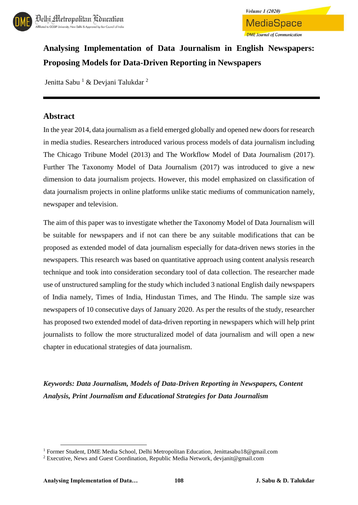



# **Analysing Implementation of Data Journalism in English Newspapers: Proposing Models for Data-Driven Reporting in Newspapers**

Jenitta Sabu  $1 \&$  Deviani Talukdar  $2$ 

### **Abstract**

In the year 2014, data journalism as a field emerged globally and opened new doors for research in media studies. Researchers introduced various process models of data journalism including The Chicago Tribune Model (2013) and The Workflow Model of Data Journalism (2017). Further The Taxonomy Model of Data Journalism (2017) was introduced to give a new dimension to data journalism projects. However, this model emphasized on classification of data journalism projects in online platforms unlike static mediums of communication namely, newspaper and television.

The aim of this paper was to investigate whether the Taxonomy Model of Data Journalism will be suitable for newspapers and if not can there be any suitable modifications that can be proposed as extended model of data journalism especially for data-driven news stories in the newspapers. This research was based on quantitative approach using content analysis research technique and took into consideration secondary tool of data collection. The researcher made use of unstructured sampling for the study which included 3 national English daily newspapers of India namely, Times of India, Hindustan Times, and The Hindu. The sample size was newspapers of 10 consecutive days of January 2020. As per the results of the study, researcher has proposed two extended model of data-driven reporting in newspapers which will help print journalists to follow the more structuralized model of data journalism and will open a new chapter in educational strategies of data journalism.

*Keywords: Data Journalism, Models of Data-Driven Reporting in Newspapers, Content Analysis, Print Journalism and Educational Strategies for Data Journalism*

 $\overline{a}$ 

<sup>1</sup> Former Student, DME Media School, Delhi Metropolitan Education, Jenittasabu18@gmail.com

<sup>2</sup> Executive, News and Guest Coordination, Republic Media Network, devjanit@gmail.com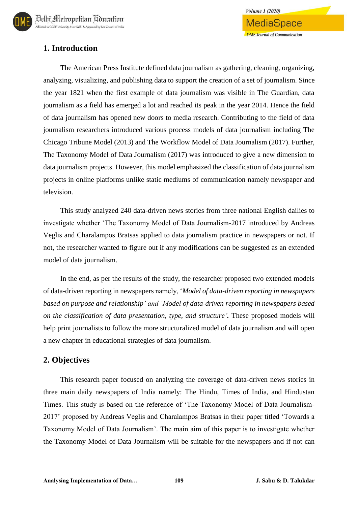## **1. Introduction**

The American Press Institute defined data journalism as gathering, cleaning, organizing, analyzing, visualizing, and publishing data to support the creation of a set of journalism. Since the year 1821 when the first example of data journalism was visible in The Guardian, data journalism as a field has emerged a lot and reached its peak in the year 2014. Hence the field of data journalism has opened new doors to media research. Contributing to the field of data journalism researchers introduced various process models of data journalism including The Chicago Tribune Model (2013) and The Workflow Model of Data Journalism (2017). Further, The Taxonomy Model of Data Journalism (2017) was introduced to give a new dimension to data journalism projects. However, this model emphasized the classification of data journalism projects in online platforms unlike static mediums of communication namely newspaper and television.

This study analyzed 240 data-driven news stories from three national English dailies to investigate whether 'The Taxonomy Model of Data Journalism-2017 introduced by Andreas Veglis and Charalampos Bratsas applied to data journalism practice in newspapers or not. If not, the researcher wanted to figure out if any modifications can be suggested as an extended model of data journalism.

In the end, as per the results of the study, the researcher proposed two extended models of data-driven reporting in newspapers namely, '*Model of data-driven reporting in newspapers based on purpose and relationship' and 'Model of data-driven reporting in newspapers based on the classification of data presentation, type, and structure'.* These proposed models will help print journalists to follow the more structuralized model of data journalism and will open a new chapter in educational strategies of data journalism.

## **2. Objectives**

This research paper focused on analyzing the coverage of data-driven news stories in three main daily newspapers of India namely: The Hindu, Times of India, and Hindustan Times. This study is based on the reference of 'The Taxonomy Model of Data Journalism-2017' proposed by Andreas Veglis and Charalampos Bratsas in their paper titled 'Towards a Taxonomy Model of Data Journalism'. The main aim of this paper is to investigate whether the Taxonomy Model of Data Journalism will be suitable for the newspapers and if not can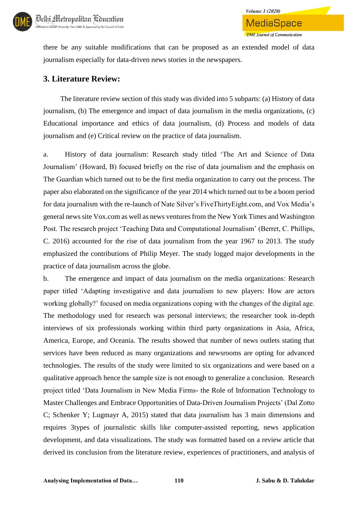

there be any suitable modifications that can be proposed as an extended model of data journalism especially for data-driven news stories in the newspapers.

## **3. Literature Review:**

The literature review section of this study was divided into 5 subparts: (a) History of data journalism, (b) The emergence and impact of data journalism in the media organizations, (c) Educational importance and ethics of data journalism, (d) Process and models of data journalism and (e) Critical review on the practice of data journalism.

a. History of data journalism: Research study titled 'The Art and Science of Data Journalism' (Howard, B) focused briefly on the rise of data journalism and the emphasis on The Guardian which turned out to be the first media organization to carry out the process. The paper also elaborated on the significance of the year 2014 which turned out to be a boom period for data journalism with the re-launch of Nate Silver's FiveThirtyEight.com, and Vox Media's general news site Vox.com as well as news ventures from the New York Times and Washington Post. The research project 'Teaching Data and Computational Journalism' (Berret, C. Phillips, C. 2016) accounted for the rise of data journalism from the year 1967 to 2013. The study emphasized the contributions of Philip Meyer. The study logged major developments in the practice of data journalism across the globe.

b. The emergence and impact of data journalism on the media organizations: Research paper titled 'Adapting investigative and data journalism to new players: How are actors working globally?' focused on media organizations coping with the changes of the digital age. The methodology used for research was personal interviews; the researcher took in-depth interviews of six professionals working within third party organizations in Asia, Africa, America, Europe, and Oceania. The results showed that number of news outlets stating that services have been reduced as many organizations and newsrooms are opting for advanced technologies. The results of the study were limited to six organizations and were based on a qualitative approach hence the sample size is not enough to generalize a conclusion. Research project titled 'Data Journalism in New Media Firms- the Role of Information Technology to Master Challenges and Embrace Opportunities of Data-Driven Journalism Projects' (Dal Zotto C; Schenker Y; Lugmayr A, 2015) stated that data journalism has 3 main dimensions and requires 3types of journalistic skills like computer-assisted reporting, news application development, and data visualizations. The study was formatted based on a review article that derived its conclusion from the literature review, experiences of practitioners, and analysis of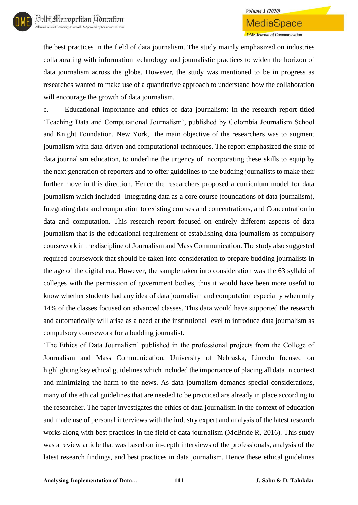the best practices in the field of data journalism. The study mainly emphasized on industries collaborating with information technology and journalistic practices to widen the horizon of data journalism across the globe. However, the study was mentioned to be in progress as researches wanted to make use of a quantitative approach to understand how the collaboration will encourage the growth of data journalism.

c. Educational importance and ethics of data journalism: In the research report titled 'Teaching Data and Computational Journalism', published by Colombia Journalism School and Knight Foundation, New York, the main objective of the researchers was to augment journalism with data-driven and computational techniques. The report emphasized the state of data journalism education, to underline the urgency of incorporating these skills to equip by the next generation of reporters and to offer guidelines to the budding journalists to make their further move in this direction. Hence the researchers proposed a curriculum model for data journalism which included- Integrating data as a core course (foundations of data journalism), Integrating data and computation to existing courses and concentrations, and Concentration in data and computation. This research report focused on entirely different aspects of data journalism that is the educational requirement of establishing data journalism as compulsory coursework in the discipline of Journalism and Mass Communication. The study also suggested required coursework that should be taken into consideration to prepare budding journalists in the age of the digital era. However, the sample taken into consideration was the 63 syllabi of colleges with the permission of government bodies, thus it would have been more useful to know whether students had any idea of data journalism and computation especially when only 14% of the classes focused on advanced classes. This data would have supported the research and automatically will arise as a need at the institutional level to introduce data journalism as compulsory coursework for a budding journalist.

'The Ethics of Data Journalism' published in the professional projects from the College of Journalism and Mass Communication, University of Nebraska, Lincoln focused on highlighting key ethical guidelines which included the importance of placing all data in context and minimizing the harm to the news. As data journalism demands special considerations, many of the ethical guidelines that are needed to be practiced are already in place according to the researcher. The paper investigates the ethics of data journalism in the context of education and made use of personal interviews with the industry expert and analysis of the latest research works along with best practices in the field of data journalism (McBride R, 2016). This study was a review article that was based on in-depth interviews of the professionals, analysis of the latest research findings, and best practices in data journalism. Hence these ethical guidelines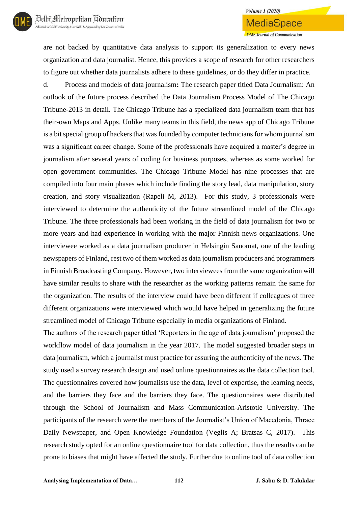are not backed by quantitative data analysis to support its generalization to every news organization and data journalist. Hence, this provides a scope of research for other researchers to figure out whether data journalists adhere to these guidelines, or do they differ in practice.

d. Process and models of data journalism**:** The research paper titled Data Journalism: An outlook of the future process described the Data Journalism Process Model of The Chicago Tribune-2013 in detail. The Chicago Tribune has a specialized data journalism team that has their-own Maps and Apps. Unlike many teams in this field, the news app of Chicago Tribune is a bit special group of hackers that was founded by computer technicians for whom journalism was a significant career change. Some of the professionals have acquired a master's degree in journalism after several years of coding for business purposes, whereas as some worked for open government communities. The Chicago Tribune Model has nine processes that are compiled into four main phases which include finding the story lead, data manipulation, story creation, and story visualization (Rapeli M, 2013). For this study, 3 professionals were interviewed to determine the authenticity of the future streamlined model of the Chicago Tribune. The three professionals had been working in the field of data journalism for two or more years and had experience in working with the major Finnish news organizations. One interviewee worked as a data journalism producer in Helsingin Sanomat, one of the leading newspapers of Finland, rest two of them worked as data journalism producers and programmers in Finnish Broadcasting Company. However, two interviewees from the same organization will have similar results to share with the researcher as the working patterns remain the same for the organization. The results of the interview could have been different if colleagues of three different organizations were interviewed which would have helped in generalizing the future streamlined model of Chicago Tribune especially in media organizations of Finland.

The authors of the research paper titled 'Reporters in the age of data journalism' proposed the workflow model of data journalism in the year 2017. The model suggested broader steps in data journalism, which a journalist must practice for assuring the authenticity of the news. The study used a survey research design and used online questionnaires as the data collection tool. The questionnaires covered how journalists use the data, level of expertise, the learning needs, and the barriers they face and the barriers they face. The questionnaires were distributed through the School of Journalism and Mass Communication-Aristotle University. The participants of the research were the members of the Journalist's Union of Macedonia, Thrace Daily Newspaper, and Open Knowledge Foundation (Veglis A; Bratsas C, 2017). This research study opted for an online questionnaire tool for data collection, thus the results can be prone to biases that might have affected the study. Further due to online tool of data collection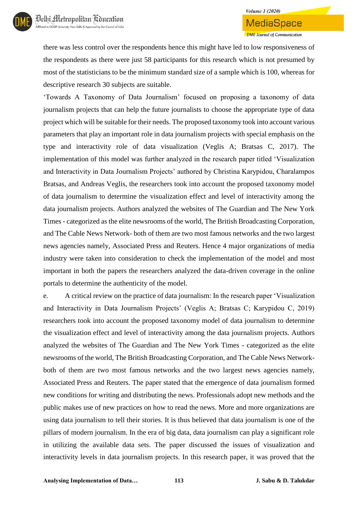## **Volume 1 (2020)** MediaSpace **DME** Journal of Communication

there was less control over the respondents hence this might have led to low responsiveness of the respondents as there were just 58 participants for this research which is not presumed by most of the statisticians to be the minimum standard size of a sample which is 100, whereas for descriptive research 30 subjects are suitable.

'Towards A Taxonomy of Data Journalism' focused on proposing a taxonomy of data journalism projects that can help the future journalists to choose the appropriate type of data project which will be suitable for their needs. The proposed taxonomy took into account various parameters that play an important role in data journalism projects with special emphasis on the type and interactivity role of data visualization (Veglis A; Bratsas C, 2017). The implementation of this model was further analyzed in the research paper titled 'Visualization and Interactivity in Data Journalism Projects' authored by Christina Karypidou, Charalampos Bratsas, and Andreas Veglis, the researchers took into account the proposed taxonomy model of data journalism to determine the visualization effect and level of interactivity among the data journalism projects. Authors analyzed the websites of The Guardian and The New York Times - categorized as the elite newsrooms of the world, The British Broadcasting Corporation, and The Cable News Network- both of them are two most famous networks and the two largest news agencies namely, Associated Press and Reuters. Hence 4 major organizations of media industry were taken into consideration to check the implementation of the model and most important in both the papers the researchers analyzed the data-driven coverage in the online portals to determine the authenticity of the model.

e. A critical review on the practice of data journalism: In the research paper 'Visualization and Interactivity in Data Journalism Projects' (Veglis A; Bratsas C; Karypidou C, 2019) researchers took into account the proposed taxonomy model of data journalism to determine the visualization effect and level of interactivity among the data journalism projects. Authors analyzed the websites of The Guardian and The New York Times - categorized as the elite newsrooms of the world, The British Broadcasting Corporation, and The Cable News Networkboth of them are two most famous networks and the two largest news agencies namely, Associated Press and Reuters. The paper stated that the emergence of data journalism formed new conditions for writing and distributing the news. Professionals adopt new methods and the public makes use of new practices on how to read the news. More and more organizations are using data journalism to tell their stories. It is thus believed that data journalism is one of the pillars of modern journalism. In the era of big data, data journalism can play a significant role in utilizing the available data sets. The paper discussed the issues of visualization and interactivity levels in data journalism projects. In this research paper, it was proved that the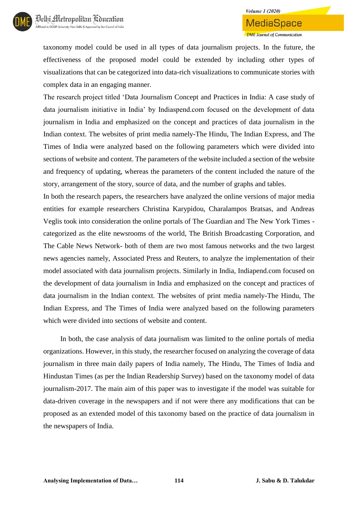taxonomy model could be used in all types of data journalism projects. In the future, the effectiveness of the proposed model could be extended by including other types of visualizations that can be categorized into data-rich visualizations to communicate stories with complex data in an engaging manner.

The research project titled 'Data Journalism Concept and Practices in India: A case study of data journalism initiative in India' by Indiaspend.com focused on the development of data journalism in India and emphasized on the concept and practices of data journalism in the Indian context. The websites of print media namely-The Hindu, The Indian Express, and The Times of India were analyzed based on the following parameters which were divided into sections of website and content. The parameters of the website included a section of the website and frequency of updating, whereas the parameters of the content included the nature of the story, arrangement of the story, source of data, and the number of graphs and tables.

In both the research papers, the researchers have analyzed the online versions of major media entities for example researchers Christina Karypidou, Charalampos Bratsas, and Andreas Veglis took into consideration the online portals of The Guardian and The New York Times categorized as the elite newsrooms of the world, The British Broadcasting Corporation, and The Cable News Network- both of them are two most famous networks and the two largest news agencies namely, Associated Press and Reuters, to analyze the implementation of their model associated with data journalism projects. Similarly in India, Indiapend.com focused on the development of data journalism in India and emphasized on the concept and practices of data journalism in the Indian context. The websites of print media namely-The Hindu, The Indian Express, and The Times of India were analyzed based on the following parameters which were divided into sections of website and content.

In both, the case analysis of data journalism was limited to the online portals of media organizations. However, in this study, the researcher focused on analyzing the coverage of data journalism in three main daily papers of India namely, The Hindu, The Times of India and Hindustan Times (as per the Indian Readership Survey) based on the taxonomy model of data journalism-2017. The main aim of this paper was to investigate if the model was suitable for data-driven coverage in the newspapers and if not were there any modifications that can be proposed as an extended model of this taxonomy based on the practice of data journalism in the newspapers of India.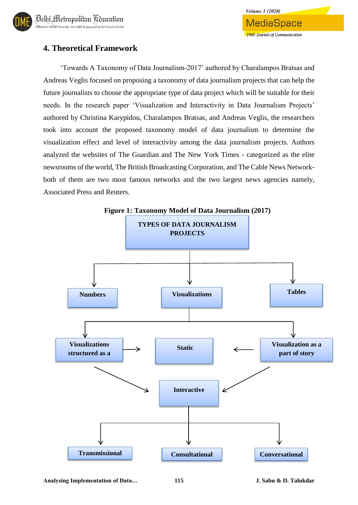

## **4. Theoretical Framework**

'Towards A Taxonomy of Data Journalism-2017' authored by Charalampos Bratsas and Andreas Veglis focused on proposing a taxonomy of data journalism projects that can help the future journalists to choose the appropriate type of data project which will be suitable for their needs. In the research paper 'Visualization and Interactivity in Data Journalism Projects' authored by Christina Karypidou, Charalampos Bratsas, and Andreas Veglis, the researchers took into account the proposed taxonomy model of data journalism to determine the visualization effect and level of interactivity among the data journalism projects. Authors analyzed the websites of The Guardian and The New York Times - categorized as the elite newsrooms of the world, The British Broadcasting Corporation, and The Cable News Networkboth of them are two most famous networks and the two largest news agencies namely, Associated Press and Reuters.

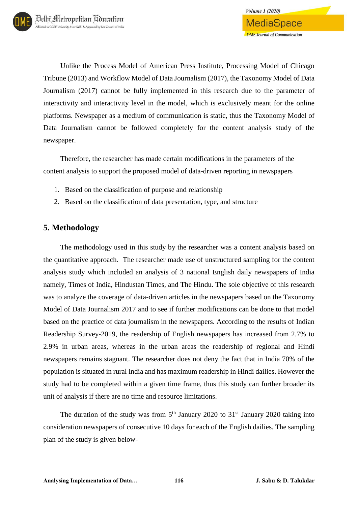Unlike the Process Model of American Press Institute, Processing Model of Chicago Tribune (2013) and Workflow Model of Data Journalism (2017), the Taxonomy Model of Data Journalism (2017) cannot be fully implemented in this research due to the parameter of interactivity and interactivity level in the model, which is exclusively meant for the online platforms. Newspaper as a medium of communication is static, thus the Taxonomy Model of Data Journalism cannot be followed completely for the content analysis study of the newspaper.

Therefore, the researcher has made certain modifications in the parameters of the content analysis to support the proposed model of data-driven reporting in newspapers

- 1. Based on the classification of purpose and relationship
- 2. Based on the classification of data presentation, type, and structure

### **5. Methodology**

The methodology used in this study by the researcher was a content analysis based on the quantitative approach. The researcher made use of unstructured sampling for the content analysis study which included an analysis of 3 national English daily newspapers of India namely, Times of India, Hindustan Times, and The Hindu. The sole objective of this research was to analyze the coverage of data-driven articles in the newspapers based on the Taxonomy Model of Data Journalism 2017 and to see if further modifications can be done to that model based on the practice of data journalism in the newspapers. According to the results of Indian Readership Survey-2019, the readership of English newspapers has increased from 2.7% to 2.9% in urban areas, whereas in the urban areas the readership of regional and Hindi newspapers remains stagnant. The researcher does not deny the fact that in India 70% of the population is situated in rural India and has maximum readership in Hindi dailies. However the study had to be completed within a given time frame, thus this study can further broader its unit of analysis if there are no time and resource limitations.

The duration of the study was from  $5<sup>th</sup>$  January 2020 to 31<sup>st</sup> January 2020 taking into consideration newspapers of consecutive 10 days for each of the English dailies. The sampling plan of the study is given below-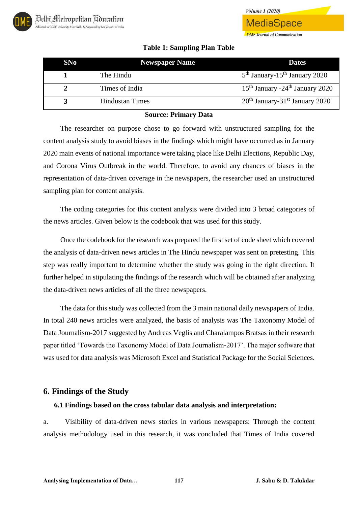#### **Table 1: Sampling Plan Table**

**Volume 1 (2020)** 

MediaSpace

**DME** Journal of Communication

| SNo | <b>Newspaper Name</b> | <b>Dates</b>                                  |
|-----|-----------------------|-----------------------------------------------|
|     | The Hindu             | $5th$ January-15 <sup>th</sup> January 2020   |
|     | Times of India        | $15th$ January -24 <sup>th</sup> January 2020 |
|     | Hindustan Times       | $20th$ January-31 <sup>st</sup> January 2020  |

#### **Source: Primary Data**

The researcher on purpose chose to go forward with unstructured sampling for the content analysis study to avoid biases in the findings which might have occurred as in January 2020 main events of national importance were taking place like Delhi Elections, Republic Day, and Corona Virus Outbreak in the world. Therefore, to avoid any chances of biases in the representation of data-driven coverage in the newspapers, the researcher used an unstructured sampling plan for content analysis.

The coding categories for this content analysis were divided into 3 broad categories of the news articles. Given below is the codebook that was used for this study.

Once the codebook for the research was prepared the first set of code sheet which covered the analysis of data-driven news articles in The Hindu newspaper was sent on pretesting. This step was really important to determine whether the study was going in the right direction. It further helped in stipulating the findings of the research which will be obtained after analyzing the data-driven news articles of all the three newspapers.

The data for this study was collected from the 3 main national daily newspapers of India. In total 240 news articles were analyzed, the basis of analysis was The Taxonomy Model of Data Journalism-2017 suggested by Andreas Veglis and Charalampos Bratsas in their research paper titled 'Towards the Taxonomy Model of Data Journalism-2017'. The major software that was used for data analysis was Microsoft Excel and Statistical Package for the Social Sciences.

### **6. Findings of the Study**

#### **6.1 Findings based on the cross tabular data analysis and interpretation:**

a. Visibility of data-driven news stories in various newspapers: Through the content analysis methodology used in this research, it was concluded that Times of India covered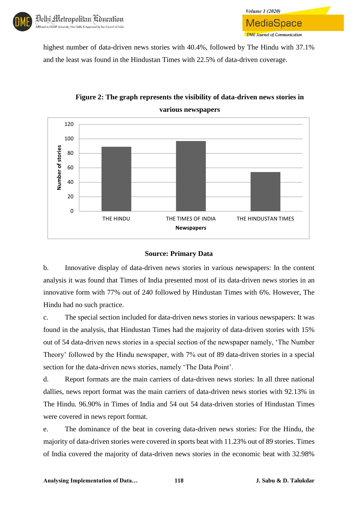highest number of data-driven news stories with 40.4%, followed by The Hindu with 37.1% and the least was found in the Hindustan Times with 22.5% of data-driven coverage.



## **Figure 2: The graph represents the visibility of data-driven news stories in various newspapers**

**Volume 1 (2020)** 

MediaSpace

**DME** Journal of Communication

#### **Source: Primary Data**

b. Innovative display of data-driven news stories in various newspapers: In the content analysis it was found that Times of India presented most of its data-driven news stories in an innovative form with 77% out of 240 followed by Hindustan Times with 6%. However, The Hindu had no such practice.

c. The special section included for data-driven news stories in various newspapers: It was found in the analysis, that Hindustan Times had the majority of data-driven stories with 15% out of 54 data-driven news stories in a special section of the newspaper namely, 'The Number Theory' followed by the Hindu newspaper, with 7% out of 89 data-driven stories in a special section for the data-driven news stories, namely 'The Data Point'.

d. Report formats are the main carriers of data-driven news stories: In all three national dallies, news report format was the main carriers of data-driven news stories with 92.13% in The Hindu. 96.90% in Times of India and 54 out 54 data-driven stories of Hindustan Times were covered in news report format.

e. The dominance of the beat in covering data-driven news stories: For the Hindu, the majority of data-driven stories were covered in sports beat with 11.23% out of 89 stories. Times of India covered the majority of data-driven news stories in the economic beat with 32.98%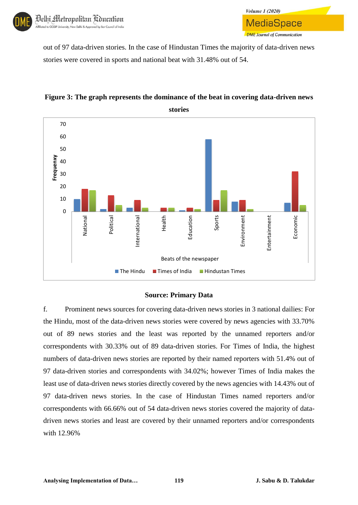out of 97 data-driven stories. In the case of Hindustan Times the majority of data-driven news stories were covered in sports and national beat with 31.48% out of 54.

**Volume 1 (2020)** 

MediaSpace

**DME** Journal of Communication



### **Figure 3: The graph represents the dominance of the beat in covering data-driven news**

#### **Source: Primary Data**

f. Prominent news sources for covering data-driven news stories in 3 national dailies: For the Hindu, most of the data-driven news stories were covered by news agencies with 33.70% out of 89 news stories and the least was reported by the unnamed reporters and/or correspondents with 30.33% out of 89 data-driven stories. For Times of India, the highest numbers of data-driven news stories are reported by their named reporters with 51.4% out of 97 data-driven stories and correspondents with 34.02%; however Times of India makes the least use of data-driven news stories directly covered by the news agencies with 14.43% out of 97 data-driven news stories. In the case of Hindustan Times named reporters and/or correspondents with 66.66% out of 54 data-driven news stories covered the majority of datadriven news stories and least are covered by their unnamed reporters and/or correspondents with 12.96%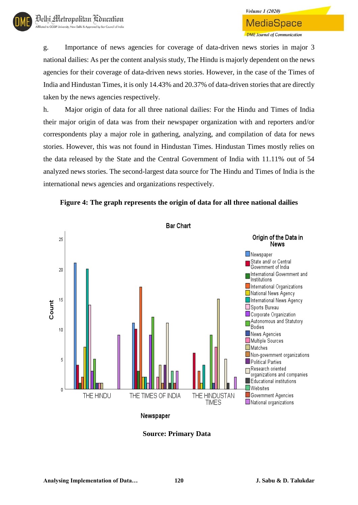g. Importance of news agencies for coverage of data-driven news stories in major 3 national dailies: As per the content analysis study, The Hindu is majorly dependent on the news agencies for their coverage of data-driven news stories. However, in the case of the Times of India and Hindustan Times, it is only 14.43% and 20.37% of data-driven stories that are directly taken by the news agencies respectively.

h. Major origin of data for all three national dailies: For the Hindu and Times of India their major origin of data was from their newspaper organization with and reporters and/or correspondents play a major role in gathering, analyzing, and compilation of data for news stories. However, this was not found in Hindustan Times. Hindustan Times mostly relies on the data released by the State and the Central Government of India with 11.11% out of 54 analyzed news stories. The second-largest data source for The Hindu and Times of India is the international news agencies and organizations respectively.





Newspaper

**Source: Primary Data**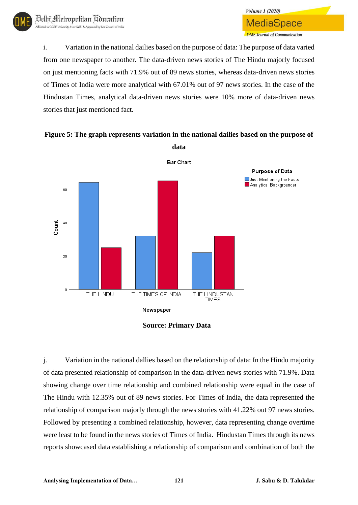**MediaSpace DME Journal of Communication** i. Variation in the national dailies based on the purpose of data: The purpose of data varied from one newspaper to another. The data-driven news stories of The Hindu majorly focused on just mentioning facts with 71.9% out of 89 news stories, whereas data-driven news stories

**Volume 1 (2020)** 

of Times of India were more analytical with 67.01% out of 97 news stories. In the case of the Hindustan Times, analytical data-driven news stories were 10% more of data-driven news stories that just mentioned fact.



**Figure 5: The graph represents variation in the national dailies based on the purpose of** 

j. Variation in the national dallies based on the relationship of data: In the Hindu majority of data presented relationship of comparison in the data-driven news stories with 71.9%. Data showing change over time relationship and combined relationship were equal in the case of The Hindu with 12.35% out of 89 news stories. For Times of India, the data represented the relationship of comparison majorly through the news stories with 41.22% out 97 news stories. Followed by presenting a combined relationship, however, data representing change overtime were least to be found in the news stories of Times of India. Hindustan Times through its news reports showcased data establishing a relationship of comparison and combination of both the

**Source: Primary Data**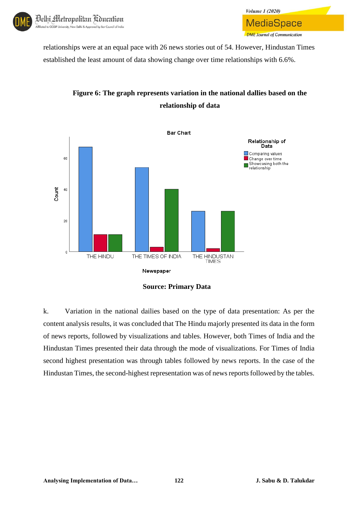

relationships were at an equal pace with 26 news stories out of 54. However, Hindustan Times established the least amount of data showing change over time relationships with 6.6%.



## **Figure 6: The graph represents variation in the national dallies based on the relationship of data**

**Volume 1 (2020)** 

MediaSpace

**DME Journal of Communication** 

k. Variation in the national dailies based on the type of data presentation: As per the content analysis results, it was concluded that The Hindu majorly presented its data in the form of news reports, followed by visualizations and tables. However, both Times of India and the Hindustan Times presented their data through the mode of visualizations. For Times of India second highest presentation was through tables followed by news reports. In the case of the Hindustan Times, the second-highest representation was of news reports followed by the tables.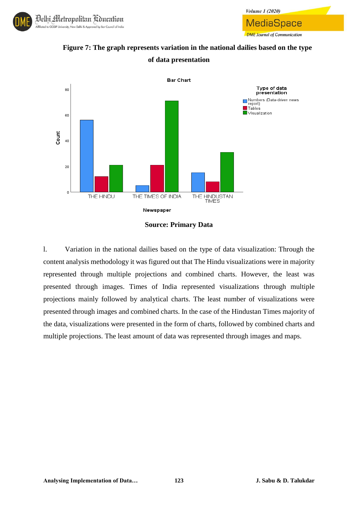



**Volume 1 (2020)** 

MediaSpace

**DME** Journal of Communication



**Source: Primary Data**

l. Variation in the national dailies based on the type of data visualization: Through the content analysis methodology it was figured out that The Hindu visualizations were in majority represented through multiple projections and combined charts. However, the least was presented through images. Times of India represented visualizations through multiple projections mainly followed by analytical charts. The least number of visualizations were presented through images and combined charts. In the case of the Hindustan Times majority of the data, visualizations were presented in the form of charts, followed by combined charts and multiple projections. The least amount of data was represented through images and maps.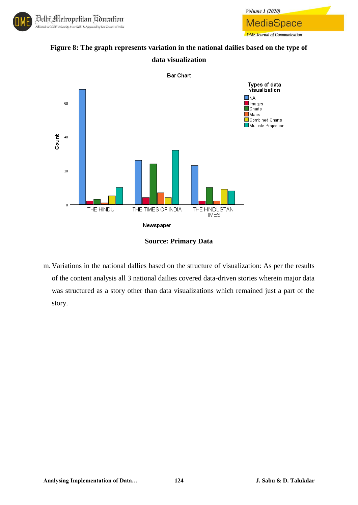

**Figure 8: The graph represents variation in the national dailies based on the type of data visualization**

Volume 1 (2020)

**MediaSpace** 

**DME** Journal of Communication



**Source: Primary Data**

m. Variations in the national dallies based on the structure of visualization: As per the results of the content analysis all 3 national dailies covered data-driven stories wherein major data was structured as a story other than data visualizations which remained just a part of the story.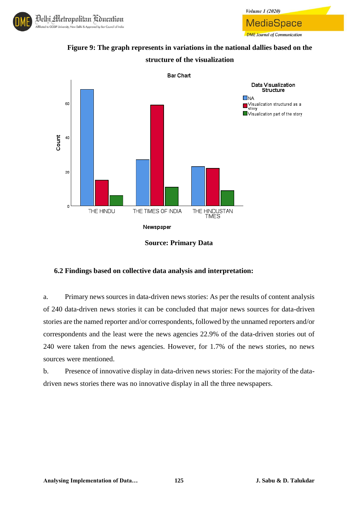



**Volume 1 (2020)** 

MediaSpace

**DME Journal of Communication** 



**Source: Primary Data**

#### **6.2 Findings based on collective data analysis and interpretation:**

a. Primary news sources in data-driven news stories: As per the results of content analysis of 240 data-driven news stories it can be concluded that major news sources for data-driven stories are the named reporter and/or correspondents, followed by the unnamed reporters and/or correspondents and the least were the news agencies 22.9% of the data-driven stories out of 240 were taken from the news agencies. However, for 1.7% of the news stories, no news sources were mentioned.

b. Presence of innovative display in data-driven news stories: For the majority of the datadriven news stories there was no innovative display in all the three newspapers.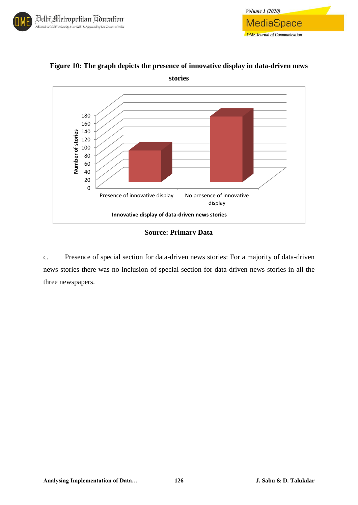



**Figure 10: The graph depicts the presence of innovative display in data-driven news** 

*Volume 1 (2020)* 

**MediaSpace** 

**DME** Journal of Communication

#### **Source: Primary Data**

c. Presence of special section for data-driven news stories: For a majority of data-driven news stories there was no inclusion of special section for data-driven news stories in all the three newspapers.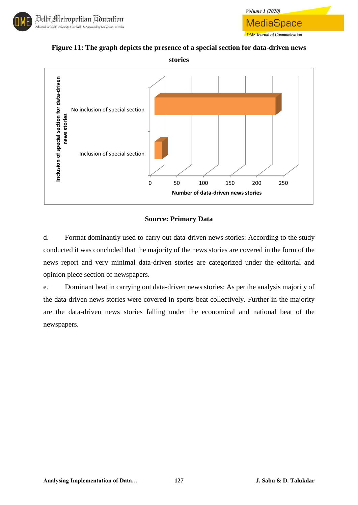



**Figure 11: The graph depicts the presence of a special section for data-driven news** 



#### **Source: Primary Data**

d. Format dominantly used to carry out data-driven news stories: According to the study conducted it was concluded that the majority of the news stories are covered in the form of the news report and very minimal data-driven stories are categorized under the editorial and opinion piece section of newspapers.

e. Dominant beat in carrying out data-driven news stories: As per the analysis majority of the data-driven news stories were covered in sports beat collectively. Further in the majority are the data-driven news stories falling under the economical and national beat of the newspapers.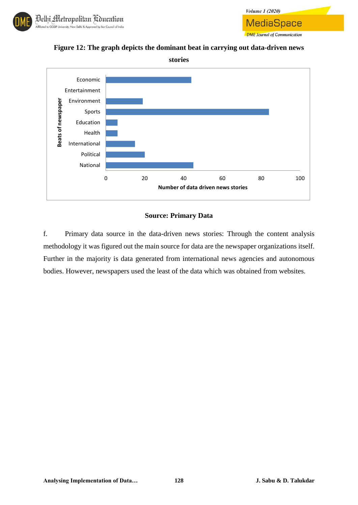



**Figure 12: The graph depicts the dominant beat in carrying out data-driven news** 



#### **Source: Primary Data**

f. Primary data source in the data-driven news stories: Through the content analysis methodology it was figured out the main source for data are the newspaper organizations itself. Further in the majority is data generated from international news agencies and autonomous bodies. However, newspapers used the least of the data which was obtained from websites.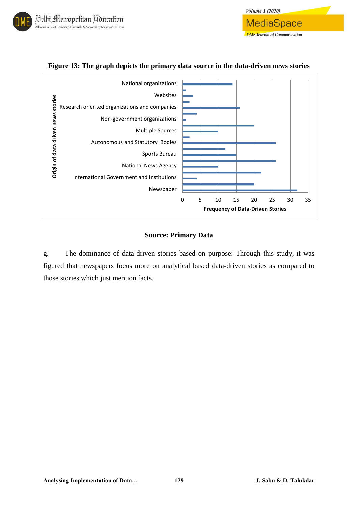

#### **Figure 13: The graph depicts the primary data source in the data-driven news stories**

*Volume 1 (2020)* 

**MediaSpace** 

**DME** Journal of Communication

#### **Source: Primary Data**

g. The dominance of data-driven stories based on purpose: Through this study, it was figured that newspapers focus more on analytical based data-driven stories as compared to those stories which just mention facts.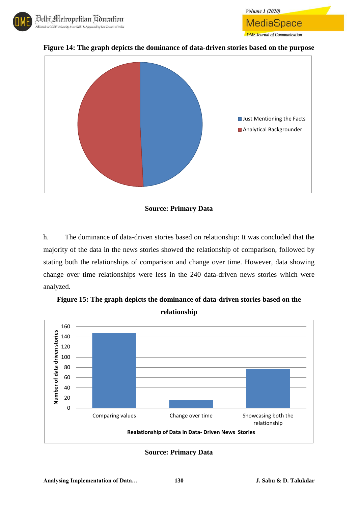



**Figure 14: The graph depicts the dominance of data-driven stories based on the purpose**

**Volume 1 (2020)** 

**MediaSpace** 

**DME** Journal of Communication

#### **Source: Primary Data**

h. The dominance of data-driven stories based on relationship: It was concluded that the majority of the data in the news stories showed the relationship of comparison, followed by stating both the relationships of comparison and change over time. However, data showing change over time relationships were less in the 240 data-driven news stories which were analyzed.



**Figure 15: The graph depicts the dominance of data-driven stories based on the relationship**

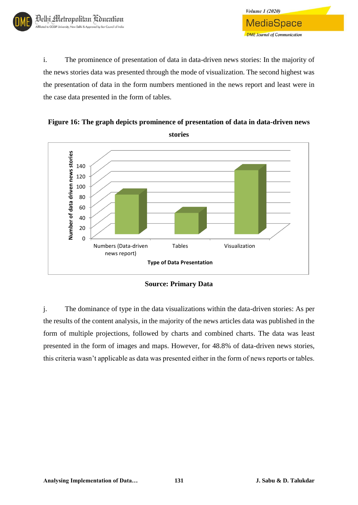i. The prominence of presentation of data in data-driven news stories: In the majority of the news stories data was presented through the mode of visualization. The second highest was the presentation of data in the form numbers mentioned in the news report and least were in the case data presented in the form of tables.

**Volume 1 (2020)** 

MediaSpace

**DME** Journal of Communication

**Figure 16: The graph depicts prominence of presentation of data in data-driven news stories**



**Source: Primary Data**

j. The dominance of type in the data visualizations within the data-driven stories: As per the results of the content analysis, in the majority of the news articles data was published in the form of multiple projections, followed by charts and combined charts. The data was least presented in the form of images and maps. However, for 48.8% of data-driven news stories, this criteria wasn't applicable as data was presented either in the form of news reports or tables.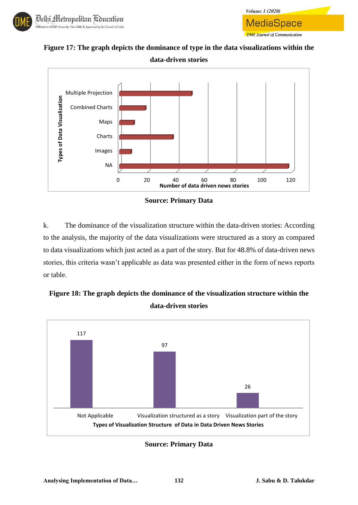



**Figure 17: The graph depicts the dominance of type in the data visualizations within the data-driven stories**



**Source: Primary Data**

k. The dominance of the visualization structure within the data-driven stories: According to the analysis, the majority of the data visualizations were structured as a story as compared to data visualizations which just acted as a part of the story. But for 48.8% of data-driven news stories, this criteria wasn't applicable as data was presented either in the form of news reports or table.





**Source: Primary Data**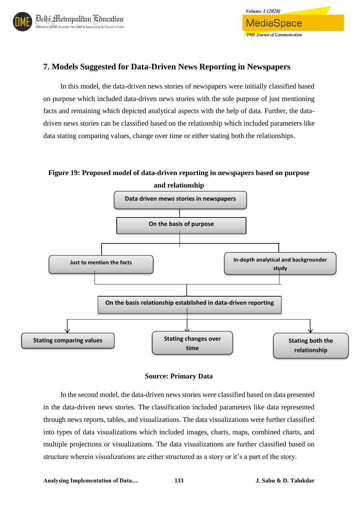

## **7. Models Suggested for Data-Driven News Reporting in Newspapers**

In this model, the data-driven news stories of newspapers were initially classified based on purpose which included data-driven news stories with the sole purpose of just mentioning facts and remaining which depicted analytical aspects with the help of data. Further, the datadriven news stories can be classified based on the relationship which included parameters like data stating comparing values, change over time or either stating both the relationships.

**Figure 19: Proposed model of data-driven reporting in newspapers based on purpose** 



#### **Source: Primary Data**

In the second model, the data-driven news stories were classified based on data presented in the data-driven news stories. The classification included parameters like data represented through news reports, tables, and visualizations. The data visualizations were further classified into types of data visualizations which included images, charts, maps, combined charts, and multiple projections or visualizations. The data visualizations are further classified based on structure wherein visualizations are either structured as a story or it's a part of the story.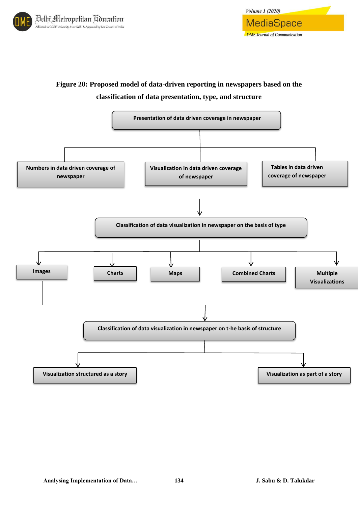



## **Figure 20: Proposed model of data-driven reporting in newspapers based on the classification of data presentation, type, and structure**

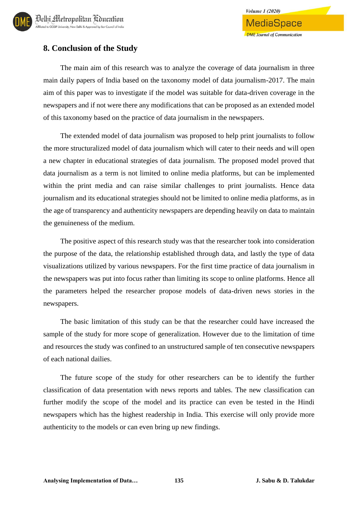## **8. Conclusion of the Study**

The main aim of this research was to analyze the coverage of data journalism in three main daily papers of India based on the taxonomy model of data journalism-2017. The main aim of this paper was to investigate if the model was suitable for data-driven coverage in the newspapers and if not were there any modifications that can be proposed as an extended model of this taxonomy based on the practice of data journalism in the newspapers.

The extended model of data journalism was proposed to help print journalists to follow the more structuralized model of data journalism which will cater to their needs and will open a new chapter in educational strategies of data journalism. The proposed model proved that data journalism as a term is not limited to online media platforms, but can be implemented within the print media and can raise similar challenges to print journalists. Hence data journalism and its educational strategies should not be limited to online media platforms, as in the age of transparency and authenticity newspapers are depending heavily on data to maintain the genuineness of the medium.

The positive aspect of this research study was that the researcher took into consideration the purpose of the data, the relationship established through data, and lastly the type of data visualizations utilized by various newspapers. For the first time practice of data journalism in the newspapers was put into focus rather than limiting its scope to online platforms. Hence all the parameters helped the researcher propose models of data-driven news stories in the newspapers.

The basic limitation of this study can be that the researcher could have increased the sample of the study for more scope of generalization. However due to the limitation of time and resources the study was confined to an unstructured sample of ten consecutive newspapers of each national dailies.

The future scope of the study for other researchers can be to identify the further classification of data presentation with news reports and tables. The new classification can further modify the scope of the model and its practice can even be tested in the Hindi newspapers which has the highest readership in India. This exercise will only provide more authenticity to the models or can even bring up new findings.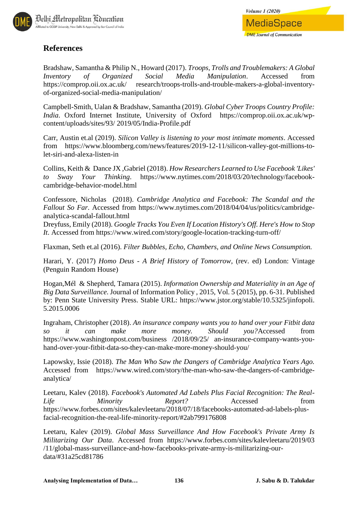

## **References**

Bradshaw, Samantha & Philip N., Howard (2017). *Troops, Trolls and Troublemakers: A Global Inventory of Organized Social Media Manipulation*. Accessed from https://comprop.oii.ox.ac.uk/ research/troops-trolls-and-trouble-makers-a-global-inventoryof-organized-social-media-manipulation/

Campbell-Smith, Ualan & Bradshaw, Samantha (2019). *Global Cyber Troops Country Profile: India*. Oxford Internet Institute, University of Oxford https://comprop.oii.ox.ac.uk/wpcontent/uploads/sites/93/ 2019/05/India-Profile.pdf

Carr, Austin et.al (2019). *Silicon Valley is listening to your most intimate moments*. Accessed from https://www.bloomberg.com/news/features/2019-12-11/silicon-valley-got-millions-tolet-siri-and-alexa-listen-in

Collins, Keith & Dance JX ,Gabriel (2018). *How Researchers Learned to Use Facebook 'Likes' to Sway Your Thinking*. https://www.nytimes.com/2018/03/20/technology/facebookcambridge-behavior-model.html

Confessore, Nicholas (2018). *Cambridge Analytica and Facebook: The Scandal and the Fallout So Far*. Accessed from https://www.nytimes.com/2018/04/04/us/politics/cambridgeanalytica-scandal-fallout.html

Dreyfuss, Emily (2018). *Google Tracks You Even If Location History's Off. Here's How to Stop It*. Accessed from https://www.wired.com/story/google-location-tracking-turn-off/

Flaxman, Seth et.al (2016). *Filter Bubbles, Echo, Chambers, and Online News Consumption.* 

Harari, Y. (2017) *Homo Deus - A Brief History of Tomorrow*, (rev. ed) London: Vintage (Penguin Random House)

Hogan,Mél & Shepherd, Tamara (2015). *Information Ownership and Materiality in an Age of Big Data Surveillance*. Journal of Information Policy , 2015, Vol. 5 (2015), pp. 6-31. Published by: Penn State University Press. Stable URL: https://www.jstor.org/stable/10.5325/jinfopoli. 5.2015.0006

Ingraham, Christopher (2018). *An insurance company wants you to hand over your Fitbit data so it can make more money. Should you?*Accessed from https://www.washingtonpost.com/business /2018/09/25/ an-insurance-company-wants-youhand-over-your-fitbit-data-so-they-can-make-more-money-should-you/

Lapowsky, Issie (2018). *The Man Who Saw the Dangers of Cambridge Analytica Years Ago.*  Accessed from https://www.wired.com/story/the-man-who-saw-the-dangers-of-cambridgeanalytica/

Leetaru, Kalev (2018). *Facebook's Automated Ad Labels Plus Facial Recognition: The Real-Life Minority Report?* Accessed from https://www.forbes.com/sites/kalevleetaru/2018/07/18/facebooks-automated-ad-labels-plusfacial-recognition-the-real-life-minority-report/#2ab799176808

Leetaru, Kalev (2019). *Global Mass Surveillance And How Facebook's Private Army Is Militarizing Our Data*. Accessed from https://www.forbes.com/sites/kalevleetaru/2019/03 /11/global-mass-surveillance-and-how-facebooks-private-army-is-militarizing-ourdata/#31a25cd81786